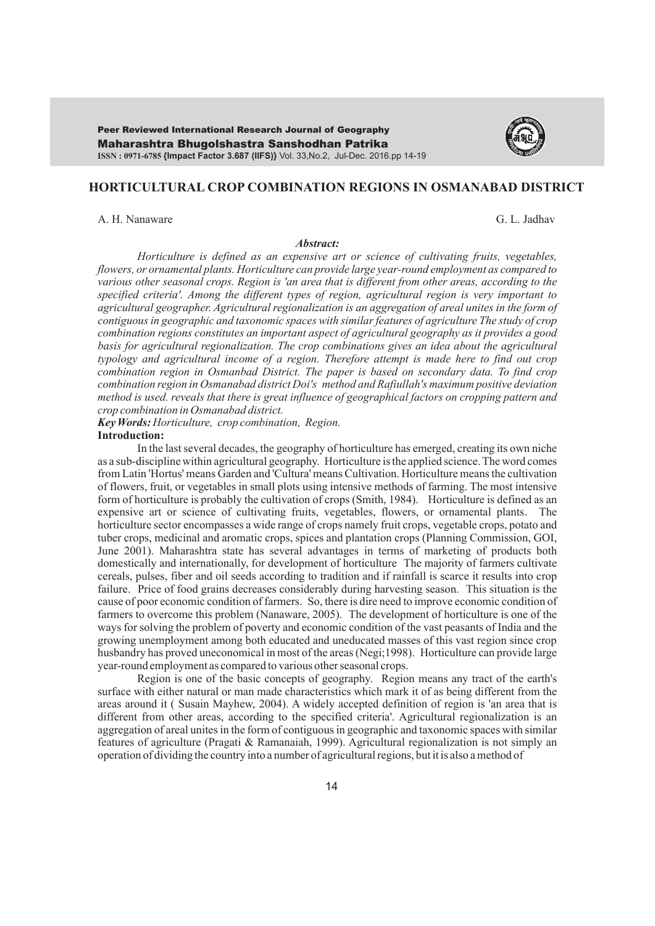Maharashtra Bhugolshastra Sanshodhan Patrika **ISSN : 0971-6785 {Impact Factor 3.687 (IIFS)}** Vol. 33,No.2, Jul-Dec. 2016.pp 14-19 Peer Reviewed International Research Journal of Geography



# **HORTICULTURAL CROP COMBINATION REGIONS IN OSMANABAD DISTRICT**

A. H. Nanaware G. L. Jadhav

#### *Abstract:*

*Horticulture is defined as an expensive art or science of cultivating fruits, vegetables, flowers, or ornamental plants. Horticulture can provide large year-round employment as compared to various other seasonal crops. Region is 'an area that is different from other areas, according to the specified criteria'. Among the different types of region, agricultural region is very important to agricultural geographer. Agricultural regionalization is an aggregation of areal unites in the form of contiguous in geographic and taxonomic spaces with similar features of agriculture The study of crop combination regions constitutes an important aspect of agricultural geography as it provides a good*  basis for agricultural regionalization. The crop combinations gives an idea about the agricultural *typology and agricultural income of a region. Therefore attempt is made here to find out crop combination region in Osmanbad District. The paper is based on secondary data. To find crop combination region in Osmanabad district Doi's method and Rafiullah's maximum positive deviation method is used. reveals that there is great influence of geographical factors on cropping pattern and crop combination in Osmanabad district.*

*Key Words: Horticulture, crop combination, Region.* 

# **Introduction:**

In the last several decades, the geography of horticulture has emerged, creating its own niche as a sub-discipline within agricultural geography. Horticulture is the applied science. The word comes from Latin 'Hortus' means Garden and 'Cultura' means Cultivation. Horticulture means the cultivation of flowers, fruit, or vegetables in small plots using intensive methods of farming. The most intensive form of horticulture is probably the cultivation of crops (Smith, 1984). Horticulture is defined as an expensive art or science of cultivating fruits, vegetables, flowers, or ornamental plants. The horticulture sector encompasses a wide range of crops namely fruit crops, vegetable crops, potato and tuber crops, medicinal and aromatic crops, spices and plantation crops (Planning Commission, GOI, June 2001). Maharashtra state has several advantages in terms of marketing of products both domestically and internationally, for development of horticulture The majority of farmers cultivate cereals, pulses, fiber and oil seeds according to tradition and if rainfall is scarce it results into crop failure. Price of food grains decreases considerably during harvesting season. This situation is the cause of poor economic condition of farmers. So, there is dire need to improve economic condition of farmers to overcome this problem (Nanaware, 2005). The development of horticulture is one of the ways for solving the problem of poverty and economic condition of the vast peasants of India and the growing unemployment among both educated and uneducated masses of this vast region since crop husbandry has proved uneconomical in most of the areas (Negi;1998). Horticulture can provide large year-round employment as compared to various other seasonal crops.

Region is one of the basic concepts of geography. Region means any tract of the earth's surface with either natural or man made characteristics which mark it of as being different from the areas around it ( Susain Mayhew, 2004). A widely accepted definition of region is 'an area that is different from other areas, according to the specified criteria'. Agricultural regionalization is an aggregation of areal unites in the form of contiguous in geographic and taxonomic spaces with similar features of agriculture (Pragati & Ramanaiah, 1999). Agricultural regionalization is not simply an operation of dividing the country into a number of agricultural regions, but it is also a method of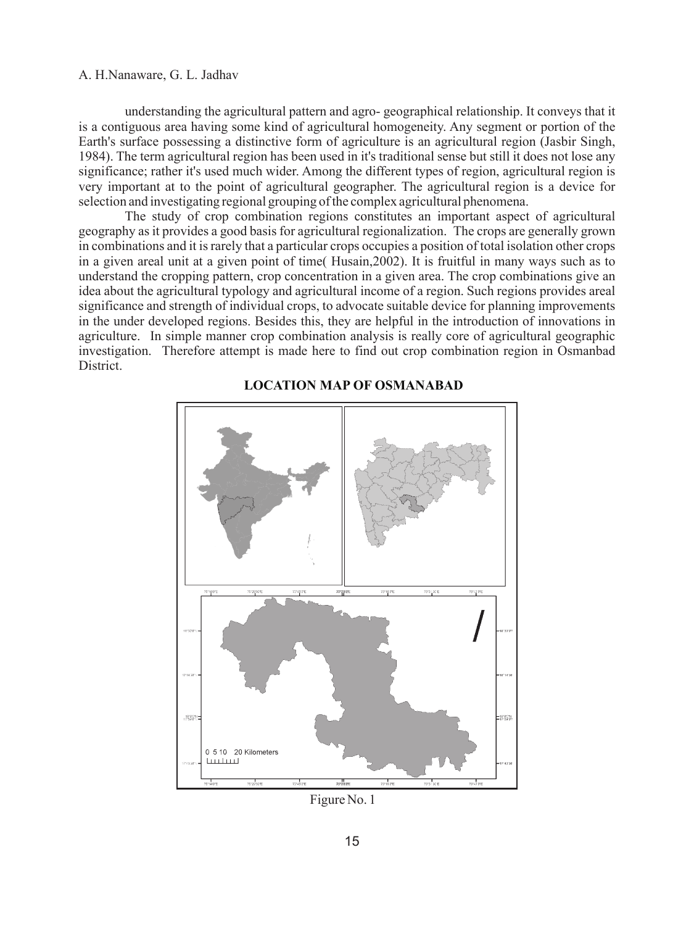# A. H.Nanaware, G. L. Jadhav

understanding the agricultural pattern and agro- geographical relationship. It conveys that it is a contiguous area having some kind of agricultural homogeneity. Any segment or portion of the Earth's surface possessing a distinctive form of agriculture is an agricultural region (Jasbir Singh, 1984). The term agricultural region has been used in it's traditional sense but still it does not lose any significance; rather it's used much wider. Among the different types of region, agricultural region is very important at to the point of agricultural geographer. The agricultural region is a device for selection and investigating regional grouping of the complex agricultural phenomena.

The study of crop combination regions constitutes an important aspect of agricultural geography as it provides a good basis for agricultural regionalization. The crops are generally grown in combinations and it is rarely that a particular crops occupies a position of total isolation other crops in a given areal unit at a given point of time( Husain,2002). It is fruitful in many ways such as to understand the cropping pattern, crop concentration in a given area. The crop combinations give an idea about the agricultural typology and agricultural income of a region. Such regions provides areal significance and strength of individual crops, to advocate suitable device for planning improvements in the under developed regions. Besides this, they are helpful in the introduction of innovations in agriculture. In simple manner crop combination analysis is really core of agricultural geographic investigation. Therefore attempt is made here to find out crop combination region in Osmanbad District.



# **LOCATION MAP OF OSMANABAD**

Figure No. 1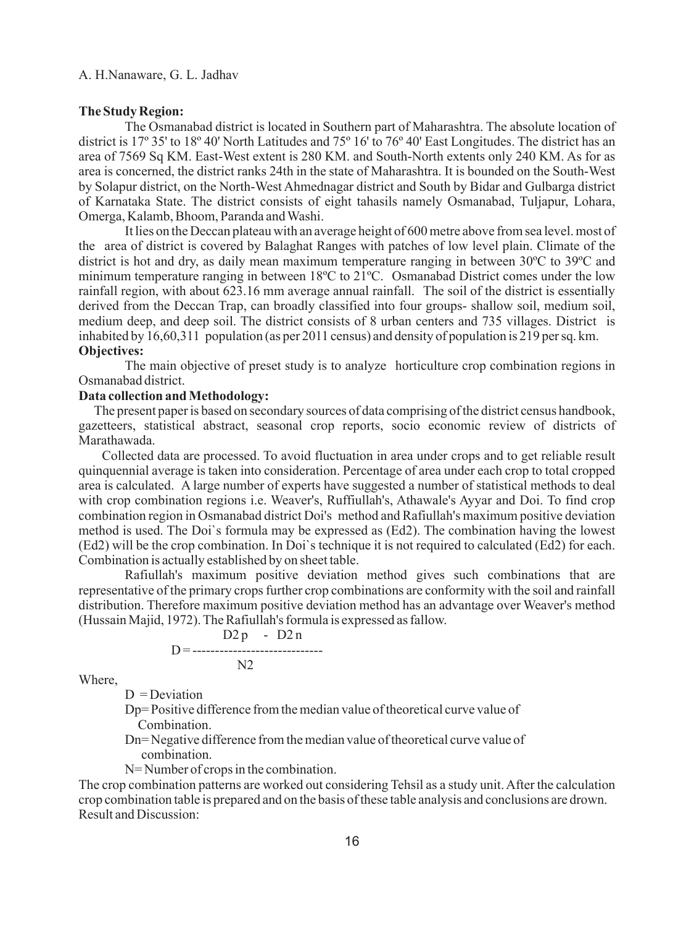#### **The Study Region:**

The Osmanabad district is located in Southern part of Maharashtra. The absolute location of district is 17º 35' to 18º 40' North Latitudes and 75º 16' to 76º 40' East Longitudes. The district has an area of 7569 Sq KM. East-West extent is 280 KM. and South-North extents only 240 KM. As for as area is concerned, the district ranks 24th in the state of Maharashtra. It is bounded on the South-West by Solapur district, on the North-West Ahmednagar district and South by Bidar and Gulbarga district of Karnataka State. The district consists of eight tahasils namely Osmanabad, Tuljapur, Lohara, Omerga, Kalamb, Bhoom, Paranda and Washi.

It lies on the Deccan plateau with an average height of 600 metre above from sea level. most of the area of district is covered by Balaghat Ranges with patches of low level plain. Climate of the district is hot and dry, as daily mean maximum temperature ranging in between 30ºC to 39ºC and minimum temperature ranging in between 18ºC to 21ºC. Osmanabad District comes under the low rainfall region, with about 623.16 mm average annual rainfall. The soil of the district is essentially derived from the Deccan Trap, can broadly classified into four groups- shallow soil, medium soil, medium deep, and deep soil. The district consists of 8 urban centers and 735 villages. District is inhabited by 16,60,311 population (as per 2011 census) and density of population is 219 per sq. km. **Objectives:** 

The main objective of preset study is to analyze horticulture crop combination regions in Osmanabad district.

### **Data collection and Methodology:**

 The present paper is based on secondary sources of data comprising of the district census handbook, gazetteers, statistical abstract, seasonal crop reports, socio economic review of districts of Marathawada.

Collected data are processed. To avoid fluctuation in area under crops and to get reliable result quinquennial average is taken into consideration. Percentage of area under each crop to total cropped area is calculated. A large number of experts have suggested a number of statistical methods to deal with crop combination regions i.e. Weaver's, Ruffiullah's, Athawale's Ayyar and Doi. To find crop combination region in Osmanabad district Doi's method and Rafiullah's maximum positive deviation method is used. The Doi`s formula may be expressed as (Ed2). The combination having the lowest (Ed2) will be the crop combination. In Doi`s technique it is not required to calculated (Ed2) for each. Combination is actually established by on sheet table.

Rafiullah's maximum positive deviation method gives such combinations that are representative of the primary crops further crop combinations are conformity with the soil and rainfall distribution. Therefore maximum positive deviation method has an advantage over Weaver's method (Hussain Majid, 1972). The Rafiullah's formula is expressed as fallow.

$$
D=
$$
\n
$$
D=
$$
\n
$$
D=
$$
\n
$$
D=
$$
\n
$$
D=
$$
\n
$$
D=
$$
\n
$$
D=
$$
\n
$$
D=
$$
\n
$$
D=
$$
\n
$$
D=
$$

Where,

 $D = Deviation$ 

Dp= Positive difference from the median value of theoretical curve value of Combination.

Dn= Negative difference from the median value of theoretical curve value of combination.

N= Number of crops in the combination.

The crop combination patterns are worked out considering Tehsil as a study unit. After the calculation crop combination table is prepared and on the basis of these table analysis and conclusions are drown. Result and Discussion: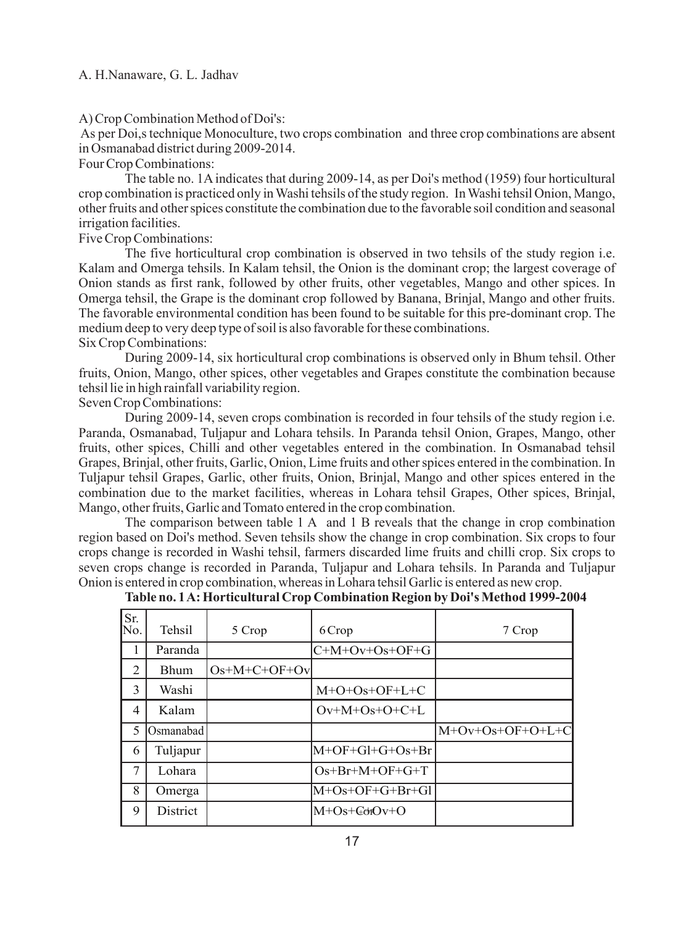### A. H.Nanaware, G. L. Jadhav

A) Crop Combination Method of Doi's:

As per Doi,s technique Monoculture, two crops combination and three crop combinations are absent in Osmanabad district during 2009-2014.

Four Crop Combinations:

The table no. 1Aindicates that during 2009-14, as per Doi's method (1959) four horticultural crop combination is practiced only in Washi tehsils of the study region. In Washi tehsil Onion, Mango, other fruits and other spices constitute the combination due to the favorable soil condition and seasonal irrigation facilities.

Five Crop Combinations:

The five horticultural crop combination is observed in two tehsils of the study region i.e. Kalam and Omerga tehsils. In Kalam tehsil, the Onion is the dominant crop; the largest coverage of Onion stands as first rank, followed by other fruits, other vegetables, Mango and other spices. In Omerga tehsil, the Grape is the dominant crop followed by Banana, Brinjal, Mango and other fruits. The favorable environmental condition has been found to be suitable for this pre-dominant crop. The medium deep to very deep type of soil is also favorable for these combinations. Six Crop Combinations:

During 2009-14, six horticultural crop combinations is observed only in Bhum tehsil. Other fruits, Onion, Mango, other spices, other vegetables and Grapes constitute the combination because tehsil lie in high rainfall variability region.

Seven Crop Combinations:

During 2009-14, seven crops combination is recorded in four tehsils of the study region i.e. Paranda, Osmanabad, Tuljapur and Lohara tehsils. In Paranda tehsil Onion, Grapes, Mango, other fruits, other spices, Chilli and other vegetables entered in the combination. In Osmanabad tehsil Grapes, Brinjal, other fruits, Garlic, Onion, Lime fruits and other spices entered in the combination. In Tuljapur tehsil Grapes, Garlic, other fruits, Onion, Brinjal, Mango and other spices entered in the combination due to the market facilities, whereas in Lohara tehsil Grapes, Other spices, Brinjal, Mango, other fruits, Garlic and Tomato entered in the crop combination.

The comparison between table 1 A and 1 B reveals that the change in crop combination region based on Doi's method. Seven tehsils show the change in crop combination. Six crops to four crops change is recorded in Washi tehsil, farmers discarded lime fruits and chilli crop. Six crops to seven crops change is recorded in Paranda, Tuljapur and Lohara tehsils. In Paranda and Tuljapur Onion is entered in crop combination, whereas in Lohara tehsil Garlic is entered as new crop.

| Table no. 1 A: Horticultural Crop Combination Region by Doi's Method 1999-2004 |  |  |  |
|--------------------------------------------------------------------------------|--|--|--|
|--------------------------------------------------------------------------------|--|--|--|

| Sr.<br>lΝo. | Tehsil    | 5 Crop         | 6 Crop            | 7 Crop             |
|-------------|-----------|----------------|-------------------|--------------------|
| 1           | Paranda   |                | $C+M+Ov+Os+OF+G$  |                    |
| 2           | Bhum      | $Os+M+C+OF+Ov$ |                   |                    |
| 3           | Washi     |                | $M+O+Os+OF+L+C$   |                    |
| 4           | Kalam     |                | $Ov+M+Os+O+C+L$   |                    |
| 5           | Osmanabad |                |                   | $M+Ov+Os+OF+O+L+C$ |
| 6           | Tuljapur  |                | M+OF+Gl+G+Os+Br   |                    |
| 7           | Lohara    |                | $Os+Br+M+OF+G+T$  |                    |
| 8           | Omerga    |                | $M+Os+OF+G+Br+Gl$ |                    |
| 9           | District  |                | M+Os+GorOv+O      |                    |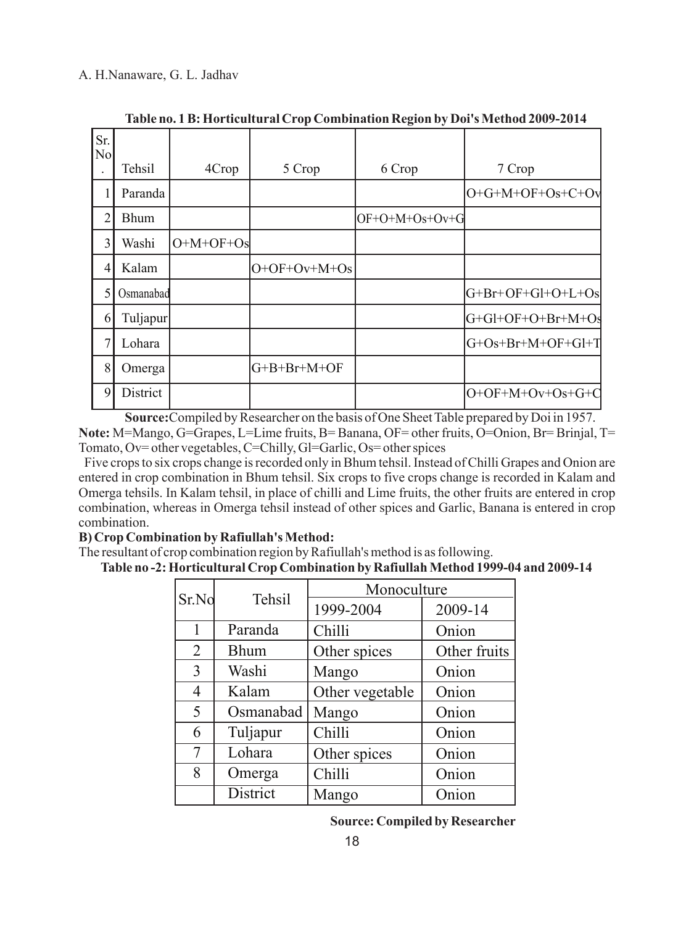| Sr.<br>$\rm{No}$ |             |             |                |                |                     |
|------------------|-------------|-------------|----------------|----------------|---------------------|
|                  | Tehsil      | 4Crop       | 5 Crop         | 6 Crop         | 7 Crop              |
| 1                | Paranda     |             |                |                | $O+G+M+OF+Os+C+Ov$  |
| 2                | <b>Bhum</b> |             |                | OF+O+M+Os+Ov+G |                     |
| 3                | Washi       | $O+M+OF+Os$ |                |                |                     |
| 4                | Kalam       |             | $O+OF+Ov+M+Os$ |                |                     |
| 5                | Osmanabad   |             |                |                | $G+Br+OF+Gl+O+L+Os$ |
| 6                | Tuljapur    |             |                |                | G+Gl+OF+O+Br+M+Os   |
| 7                | Lohara      |             |                |                | $G+Os+Br+M+OF+GI+T$ |
| 8                | Omerga      |             | G+B+Br+M+OF    |                |                     |
| 9                | District    |             |                |                | $O+OF+M+Ov+Os+G+C$  |

**Table no. 1 B: Horticultural Crop Combination Region by Doi's Method 2009-2014**

**Source:**Compiled by Researcher on the basis of One Sheet Table prepared by Doi in 1957. **Note:** M=Mango, G=Grapes, L=Lime fruits, B= Banana, OF= other fruits, O=Onion, Br= Brinjal, T= Tomato, Ov= other vegetables, C=Chilly, Gl=Garlic, Os= other spices

Five crops to six crops change is recorded only in Bhum tehsil. Instead of Chilli Grapes and Onion are entered in crop combination in Bhum tehsil. Six crops to five crops change is recorded in Kalam and Omerga tehsils. In Kalam tehsil, in place of chilli and Lime fruits, the other fruits are entered in crop combination, whereas in Omerga tehsil instead of other spices and Garlic, Banana is entered in crop combination.

# **B) Crop Combination by Rafiullah's Method:**

The resultant of crop combination region by Rafiullah's method is as following.

 **Table no -2: Horticultural Crop Combination by Rafiullah Method 1999-04 and 2009-14**

| Sr.No           | Tehsil      | Monoculture     |              |  |
|-----------------|-------------|-----------------|--------------|--|
|                 |             | 1999-2004       | 2009-14      |  |
| 1               | Paranda     | Chilli          | Onion        |  |
| $\overline{2}$  | <b>Bhum</b> | Other spices    | Other fruits |  |
| 3               | Washi       | Mango           | Onion        |  |
| 4               | Kalam       | Other vegetable | Onion        |  |
| 5               | Osmanabad   | Mango           | Onion        |  |
| 6               | Tuljapur    | Chilli          | Onion        |  |
| $7\phantom{.0}$ | Lohara      | Other spices    | Onion        |  |
| 8               | Omerga      | Chilli          | Onion        |  |
|                 | District    | Mango           | Onion        |  |

 **Source: Compiled by Researcher**